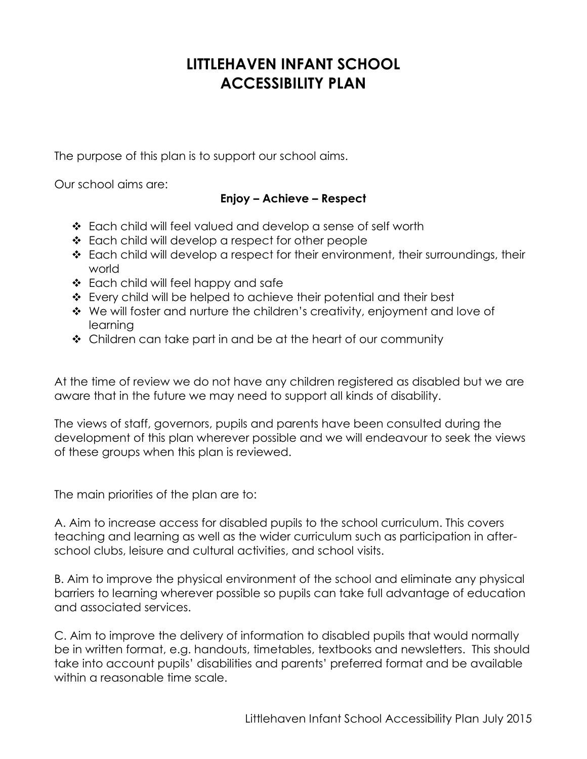## **LITTLEHAVEN INFANT SCHOOL ACCESSIBILITY PLAN**

The purpose of this plan is to support our school aims.

Our school aims are:

## **Enjoy – Achieve – Respect**

- Each child will feel valued and develop a sense of self worth
- ❖ Each child will develop a respect for other people
- Each child will develop a respect for their environment, their surroundings, their world
- ❖ Each child will feel happy and safe
- Every child will be helped to achieve their potential and their best
- We will foster and nurture the children's creativity, enjoyment and love of learning
- $\div$  Children can take part in and be at the heart of our community

At the time of review we do not have any children registered as disabled but we are aware that in the future we may need to support all kinds of disability.

The views of staff, governors, pupils and parents have been consulted during the development of this plan wherever possible and we will endeavour to seek the views of these groups when this plan is reviewed.

The main priorities of the plan are to:

A. Aim to increase access for disabled pupils to the school curriculum. This covers teaching and learning as well as the wider curriculum such as participation in afterschool clubs, leisure and cultural activities, and school visits.

B. Aim to improve the physical environment of the school and eliminate any physical barriers to learning wherever possible so pupils can take full advantage of education and associated services.

C. Aim to improve the delivery of information to disabled pupils that would normally be in written format, e.g. handouts, timetables, textbooks and newsletters. This should take into account pupils' disabilities and parents' preferred format and be available within a reasonable time scale.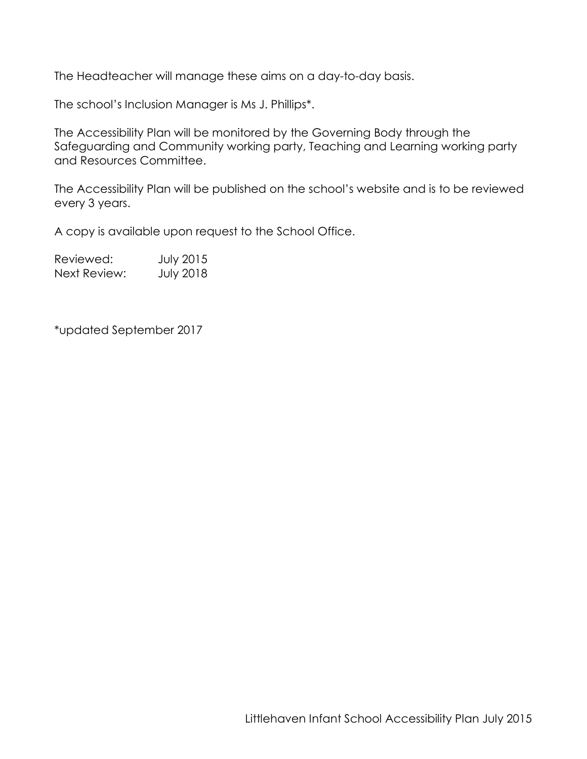The Headteacher will manage these aims on a day-to-day basis.

The school's Inclusion Manager is Ms J. Phillips\*.

The Accessibility Plan will be monitored by the Governing Body through the Safeguarding and Community working party, Teaching and Learning working party and Resources Committee.

The Accessibility Plan will be published on the school's website and is to be reviewed every 3 years.

A copy is available upon request to the School Office.

Reviewed: July 2015 Next Review: July 2018

\*updated September 2017